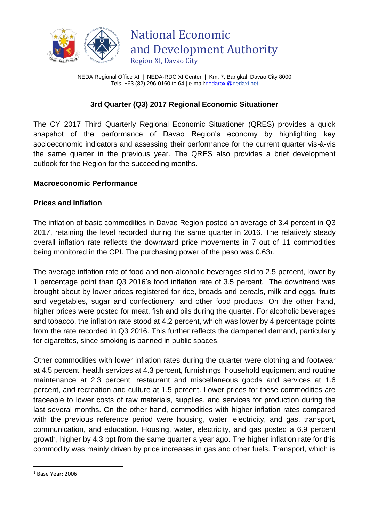

|                                                               | NEDA Regional Office XI   NEDA-RDC XI Center   Km. 7, Bangkal, Davao City 8000 |
|---------------------------------------------------------------|--------------------------------------------------------------------------------|
| Tels. $+63$ (82) 296-0160 to 64   e-mail: nedaroxi@nedaxi.net |                                                                                |

## **3rd Quarter (Q3) 2017 Regional Economic Situationer**

The CY 2017 Third Quarterly Regional Economic Situationer (QRES) provides a quick snapshot of the performance of Davao Region's economy by highlighting key socioeconomic indicators and assessing their performance for the current quarter vis-à-vis the same quarter in the previous year. The QRES also provides a brief development outlook for the Region for the succeeding months.

#### **Macroeconomic Performance**

#### **Prices and Inflation**

The inflation of basic commodities in Davao Region posted an average of 3.4 percent in Q3 2017, retaining the level recorded during the same quarter in 2016. The relatively steady overall inflation rate reflects the downward price movements in 7 out of 11 commodities being monitored in the CPI. The purchasing power of the peso was 0.631.

The average inflation rate of food and non-alcoholic beverages slid to 2.5 percent, lower by 1 percentage point than Q3 2016's food inflation rate of 3.5 percent. The downtrend was brought about by lower prices registered for rice, breads and cereals, milk and eggs, fruits and vegetables, sugar and confectionery, and other food products. On the other hand, higher prices were posted for meat, fish and oils during the quarter. For alcoholic beverages and tobacco, the inflation rate stood at 4.2 percent, which was lower by 4 percentage points from the rate recorded in Q3 2016. This further reflects the dampened demand, particularly for cigarettes, since smoking is banned in public spaces.

Other commodities with lower inflation rates during the quarter were clothing and footwear at 4.5 percent, health services at 4.3 percent, furnishings, household equipment and routine maintenance at 2.3 percent, restaurant and miscellaneous goods and services at 1.6 percent, and recreation and culture at 1.5 percent. Lower prices for these commodities are traceable to lower costs of raw materials, supplies, and services for production during the last several months. On the other hand, commodities with higher inflation rates compared with the previous reference period were housing, water, electricity, and gas, transport, communication, and education. Housing, water, electricity, and gas posted a 6.9 percent growth, higher by 4.3 ppt from the same quarter a year ago. The higher inflation rate for this commodity was mainly driven by price increases in gas and other fuels. Transport, which is

<sup>1</sup> Base Year: 2006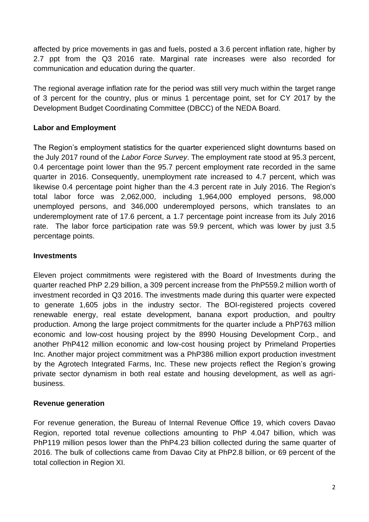affected by price movements in gas and fuels, posted a 3.6 percent inflation rate, higher by 2.7 ppt from the Q3 2016 rate. Marginal rate increases were also recorded for communication and education during the quarter.

The regional average inflation rate for the period was still very much within the target range of 3 percent for the country, plus or minus 1 percentage point, set for CY 2017 by the Development Budget Coordinating Committee (DBCC) of the NEDA Board.

# **Labor and Employment**

The Region's employment statistics for the quarter experienced slight downturns based on the July 2017 round of the *Labor Force Survey*. The employment rate stood at 95.3 percent, 0.4 percentage point lower than the 95.7 percent employment rate recorded in the same quarter in 2016. Consequently, unemployment rate increased to 4.7 percent, which was likewise 0.4 percentage point higher than the 4.3 percent rate in July 2016. The Region's total labor force was 2,062,000, including 1,964,000 employed persons, 98,000 unemployed persons, and 346,000 underemployed persons, which translates to an underemployment rate of 17.6 percent, a 1.7 percentage point increase from its July 2016 rate. The labor force participation rate was 59.9 percent, which was lower by just 3.5 percentage points.

#### **Investments**

Eleven project commitments were registered with the Board of Investments during the quarter reached PhP 2.29 billion, a 309 percent increase from the PhP559.2 million worth of investment recorded in Q3 2016. The investments made during this quarter were expected to generate 1,605 jobs in the industry sector. The BOI-registered projects covered renewable energy, real estate development, banana export production, and poultry production. Among the large project commitments for the quarter include a PhP763 million economic and low-cost housing project by the 8990 Housing Development Corp., and another PhP412 million economic and low-cost housing project by Primeland Properties Inc. Another major project commitment was a PhP386 million export production investment by the Agrotech Integrated Farms, Inc. These new projects reflect the Region's growing private sector dynamism in both real estate and housing development, as well as agribusiness.

## **Revenue generation**

For revenue generation, the Bureau of Internal Revenue Office 19, which covers Davao Region, reported total revenue collections amounting to PhP 4.047 billion, which was PhP119 million pesos lower than the PhP4.23 billion collected during the same quarter of 2016. The bulk of collections came from Davao City at PhP2.8 billion, or 69 percent of the total collection in Region XI.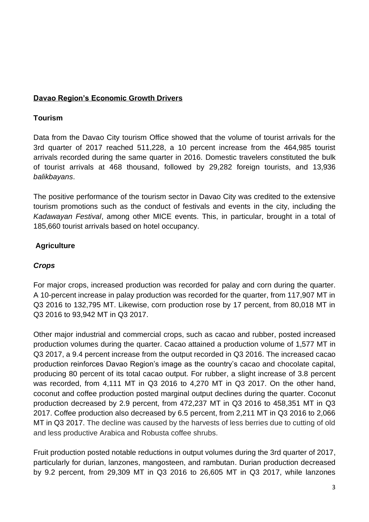#### **Davao Region's Economic Growth Drivers**

#### **Tourism**

Data from the Davao City tourism Office showed that the volume of tourist arrivals for the 3rd quarter of 2017 reached 511,228, a 10 percent increase from the 464,985 tourist arrivals recorded during the same quarter in 2016. Domestic travelers constituted the bulk of tourist arrivals at 468 thousand, followed by 29,282 foreign tourists, and 13,936 *balikbayans*.

The positive performance of the tourism sector in Davao City was credited to the extensive tourism promotions such as the conduct of festivals and events in the city, including the *Kadawayan Festival*, among other MICE events. This, in particular, brought in a total of 185,660 tourist arrivals based on hotel occupancy.

## **Agriculture**

## *Crops*

For major crops, increased production was recorded for palay and corn during the quarter. A 10-percent increase in palay production was recorded for the quarter, from 117,907 MT in Q3 2016 to 132,795 MT. Likewise, corn production rose by 17 percent, from 80,018 MT in Q3 2016 to 93,942 MT in Q3 2017.

Other major industrial and commercial crops, such as cacao and rubber, posted increased production volumes during the quarter. Cacao attained a production volume of 1,577 MT in Q3 2017, a 9.4 percent increase from the output recorded in Q3 2016. The increased cacao production reinforces Davao Region's image as the country's cacao and chocolate capital, producing 80 percent of its total cacao output. For rubber, a slight increase of 3.8 percent was recorded, from 4,111 MT in Q3 2016 to 4,270 MT in Q3 2017. On the other hand, coconut and coffee production posted marginal output declines during the quarter. Coconut production decreased by 2.9 percent, from 472,237 MT in Q3 2016 to 458,351 MT in Q3 2017. Coffee production also decreased by 6.5 percent, from 2,211 MT in Q3 2016 to 2,066 MT in Q3 2017. The decline was caused by the harvests of less berries due to cutting of old and less productive Arabica and Robusta coffee shrubs.

Fruit production posted notable reductions in output volumes during the 3rd quarter of 2017, particularly for durian, lanzones, mangosteen, and rambutan. Durian production decreased by 9.2 percent, from 29,309 MT in Q3 2016 to 26,605 MT in Q3 2017, while lanzones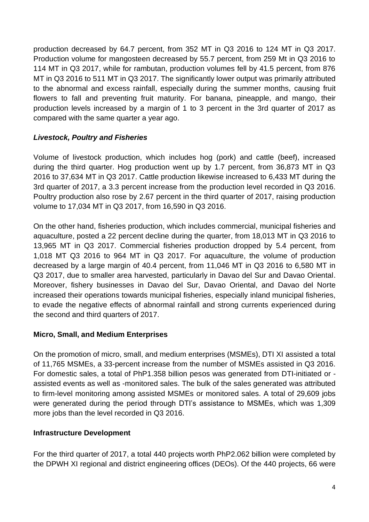production decreased by 64.7 percent, from 352 MT in Q3 2016 to 124 MT in Q3 2017. Production volume for mangosteen decreased by 55.7 percent, from 259 Mt in Q3 2016 to 114 MT in Q3 2017, while for rambutan, production volumes fell by 41.5 percent, from 876 MT in Q3 2016 to 511 MT in Q3 2017. The significantly lower output was primarily attributed to the abnormal and excess rainfall, especially during the summer months, causing fruit flowers to fall and preventing fruit maturity. For banana, pineapple, and mango, their production levels increased by a margin of 1 to 3 percent in the 3rd quarter of 2017 as compared with the same quarter a year ago.

# *Livestock, Poultry and Fisheries*

Volume of livestock production, which includes hog (pork) and cattle (beef), increased during the third quarter. Hog production went up by 1.7 percent, from 36,873 MT in Q3 2016 to 37,634 MT in Q3 2017. Cattle production likewise increased to 6,433 MT during the 3rd quarter of 2017, a 3.3 percent increase from the production level recorded in Q3 2016. Poultry production also rose by 2.67 percent in the third quarter of 2017, raising production volume to 17,034 MT in Q3 2017, from 16,590 in Q3 2016.

On the other hand, fisheries production, which includes commercial, municipal fisheries and aquaculture, posted a 22 percent decline during the quarter, from 18,013 MT in Q3 2016 to 13,965 MT in Q3 2017. Commercial fisheries production dropped by 5.4 percent, from 1,018 MT Q3 2016 to 964 MT in Q3 2017. For aquaculture, the volume of production decreased by a large margin of 40.4 percent, from 11,046 MT in Q3 2016 to 6,580 MT in Q3 2017, due to smaller area harvested, particularly in Davao del Sur and Davao Oriental. Moreover, fishery businesses in Davao del Sur, Davao Oriental, and Davao del Norte increased their operations towards municipal fisheries, especially inland municipal fisheries, to evade the negative effects of abnormal rainfall and strong currents experienced during the second and third quarters of 2017.

## **Micro, Small, and Medium Enterprises**

On the promotion of micro, small, and medium enterprises (MSMEs), DTI XI assisted a total of 11,765 MSMEs, a 33-percent increase from the number of MSMEs assisted in Q3 2016. For domestic sales, a total of PhP1.358 billion pesos was generated from DTI-initiated or assisted events as well as -monitored sales. The bulk of the sales generated was attributed to firm-level monitoring among assisted MSMEs or monitored sales. A total of 29,609 jobs were generated during the period through DTI's assistance to MSMEs, which was 1,309 more jobs than the level recorded in Q3 2016.

## **Infrastructure Development**

For the third quarter of 2017, a total 440 projects worth PhP2.062 billion were completed by the DPWH XI regional and district engineering offices (DEOs). Of the 440 projects, 66 were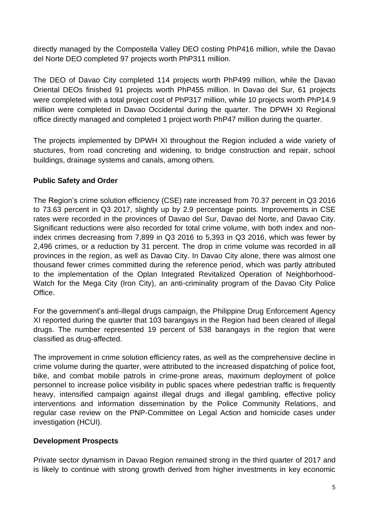directly managed by the Compostella Valley DEO costing PhP416 million, while the Davao del Norte DEO completed 97 projects worth PhP311 million.

The DEO of Davao City completed 114 projects worth PhP499 million, while the Davao Oriental DEOs finished 91 projects worth PhP455 million. In Davao del Sur, 61 projects were completed with a total project cost of PhP317 million, while 10 projects worth PhP14.9 million were completed in Davao Occidental during the quarter. The DPWH XI Regional office directly managed and completed 1 project worth PhP47 million during the quarter.

The projects implemented by DPWH XI throughout the Region included a wide variety of stuctures, from road concreting and widening, to bridge construction and repair, school buildings, drainage systems and canals, among others.

## **Public Safety and Order**

The Region's crime solution efficiency (CSE) rate increased from 70.37 percent in Q3 2016 to 73.63 percent in Q3 2017, slightly up by 2.9 percentage points. Improvements in CSE rates were recorded in the provinces of Davao del Sur, Davao del Norte, and Davao City. Significant reductions were also recorded for total crime volume, with both index and nonindex crimes decreasing from 7,899 in Q3 2016 to 5,393 in Q3 2016, which was fewer by 2,496 crimes, or a reduction by 31 percent. The drop in crime volume was recorded in all provinces in the region, as well as Davao City. In Davao City alone, there was almost one thousand fewer crimes committed during the reference period, which was partly attributed to the implementation of the Oplan Integrated Revitalized Operation of Neighborhood-Watch for the Mega City (Iron City), an anti-criminality program of the Davao City Police Office.

For the government's anti-illegal drugs campaign, the Philippine Drug Enforcement Agency XI reported during the quarter that 103 barangays in the Region had been cleared of illegal drugs. The number represented 19 percent of 538 barangays in the region that were classified as drug-affected.

The improvement in crime solution efficiency rates, as well as the comprehensive decline in crime volume during the quarter, were attributed to the increased dispatching of police foot, bike, and combat mobile patrols in crime-prone areas, maximum deployment of police personnel to increase police visibility in public spaces where pedestrian traffic is frequently heavy, intensified campaign against illegal drugs and illegal gambling, effective policy interventions and information dissemination by the Police Community Relations, and regular case review on the PNP-Committee on Legal Action and homicide cases under investigation (HCUI).

## **Development Prospects**

Private sector dynamism in Davao Region remained strong in the third quarter of 2017 and is likely to continue with strong growth derived from higher investments in key economic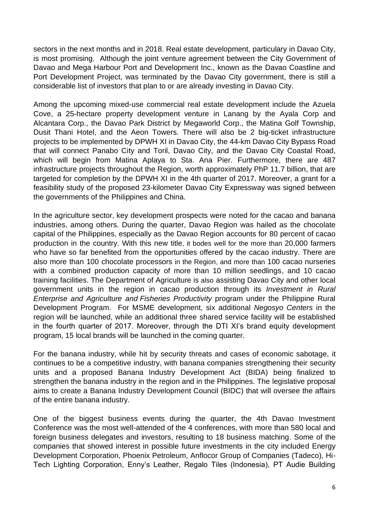sectors in the next months and in 2018. Real estate development, particulary in Davao City, is most promising. Although the joint venture agreement between the City Government of Davao and Mega Harbour Port and Development Inc., known as the Davao Coastline and Port Development Project, was terminated by the Davao City government, there is still a considerable list of investors that plan to or are already investing in Davao City.

Among the upcoming mixed-use commercial real estate development include the Azuela Cove, a 25-hectare property development venture in Lanang by the Ayala Corp and Alcantara Corp., the Davao Park District by Megaworld Corp., the Matina Golf Township, Dusit Thani Hotel, and the Aeon Towers. There will also be 2 big-ticket infrastructure projects to be implemented by DPWH XI in Davao City, the 44-km Davao City Bypass Road that will connect Panabo City and Toril, Davao City, and the Davao City Coastal Road, which will begin from Matina Aplaya to Sta. Ana Pier. Furthermore, there are 487 infrastructure projects throughout the Region, worth approximately PhP 11.7 billion, that are targeted for completion by the DPWH XI in the 4th quarter of 2017. Moreover, a grant for a feasibility study of the proposed 23-kilometer Davao City Expressway was signed between the governments of the Philippines and China.

In the agriculture sector, key development prospects were noted for the cacao and banana industries, among others. During the quarter, Davao Region was hailed as the chocolate capital of the Philippines, especially as the Davao Region accounts for 80 percent of cacao production in the country. With this new title, it bodes well for the more than 20,000 farmers who have so far benefited from the opportunities offered by the cacao industry. There are also more than 100 chocolate processors in the Region, and more than 100 cacao nurseries with a combined production capacity of more than 10 million seedlings, and 10 cacao training facilities. The Department of Agriculture is also assisting Davao City and other local government units in the region in cacao production through its *Investment in Rural Enterprise and Agriculture and Fisheries Productivity* program under the Philippine Rural Development Program. For MSME development, six additional *Negosyo Centers* in the region will be launched, while an additional three shared service facility will be established in the fourth quarter of 2017. Moreover, through the DTI XI's brand equity development program, 15 local brands will be launched in the coming quarter.

For the banana industry, while hit by security threats and cases of economic sabotage, it continues to be a competitive industry, with banana companies strengthening their security units and a proposed Banana Industry Development Act (BIDA) being finalized to strengthen the banana industry in the region and in the Philippines. The legislative proposal aims to create a Banana Industry Development Council (BIDC) that will oversee the affairs of the entire banana industry.

One of the biggest business events during the quarter, the 4th Davao Investment Conference was the most well-attended of the 4 conferences, with more than 580 local and foreign business delegates and investors, resulting to 18 business matching. Some of the companies that showed interest in possible future investments in the city included Energy Development Corporation, Phoenix Petroleum, Anflocor Group of Companies (Tadeco), Hi-Tech Lighting Corporation, Enny's Leather, Regalo Tiles (Indonesia), PT Audie Building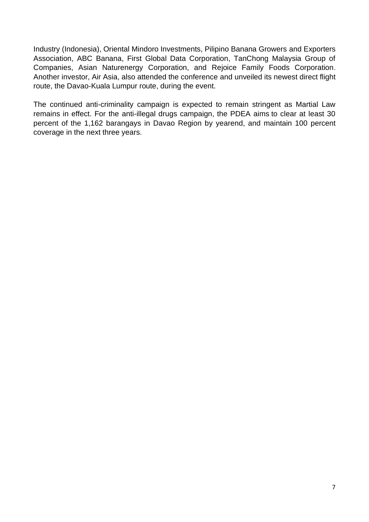Industry (Indonesia), Oriental Mindoro Investments, Pilipino Banana Growers and Exporters Association, ABC Banana, First Global Data Corporation, TanChong Malaysia Group of Companies, Asian Naturenergy Corporation, and Rejoice Family Foods Corporation. Another investor, Air Asia, also attended the conference and unveiled its newest direct flight route, the Davao-Kuala Lumpur route, during the event.

The continued anti-criminality campaign is expected to remain stringent as Martial Law remains in effect. For the anti-illegal drugs campaign, the PDEA aims to clear at least 30 percent of the 1,162 barangays in Davao Region by yearend, and maintain 100 percent coverage in the next three years.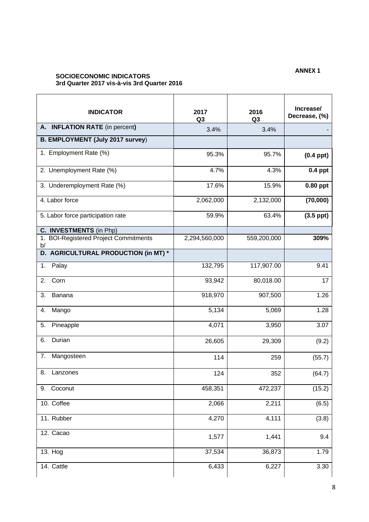#### **ANNEX 1**

#### **SOCIOECONOMIC INDICATORS 3rd Quarter 2017 vis-à-vis 3rd Quarter 2016**

| <b>INDICATOR</b>                                      | 2017<br>Q <sub>3</sub> | 2016<br>Q <sub>3</sub> | Increase/<br>Decrease, (%) |
|-------------------------------------------------------|------------------------|------------------------|----------------------------|
| A. INFLATION RATE (in percent)                        | 3.4%                   | 3.4%                   |                            |
| <b>B. EMPLOYMENT (July 2017 survey)</b>               |                        |                        |                            |
| 1. Employment Rate (%)                                | 95.3%                  | 95.7%                  | $(0.4$ ppt $)$             |
| 2. Unemployment Rate (%)                              | 4.7%                   | 4.3%                   | $0.4$ ppt                  |
| 3. Underemployment Rate (%)                           | 17.6%                  | 15.9%                  | 0.80 ppt                   |
| 4. Labor force                                        | 2,062,000              | 2,132,000              | (70,000)                   |
| 5. Labor force participation rate                     | 59.9%                  | 63.4%                  | $(3.5$ ppt $)$             |
| C. INVESTMENTS (in Php)                               |                        |                        |                            |
| <b>BOI-Registered Project Commitments</b><br>1.<br>b/ | 2,294,560,000          | 559,200,000            | 309%                       |
| D. AGRICULTURAL PRODUCTION (in MT) *                  |                        |                        |                            |
| 1.<br>Palay                                           | 132,795                | 117,907.00             | 9.41                       |
| 2.<br>Corn                                            | 93,942                 | 80,018.00              | 17                         |
| 3.<br>Banana                                          | 918,970                | 907,500                | 1.26                       |
| 4.<br>Mango                                           | 5,134                  | 5,069                  | 1.28                       |
| 5.<br>Pineapple                                       | 4,071                  | 3,950                  | 3.07                       |
| Durian<br>6.                                          | 26,605                 | 29,309                 | (9.2)                      |
| 7.<br>Mangosteen                                      | 114                    | 259                    | (55.7)                     |
| 8.<br>Lanzones                                        | 124                    | 352                    | (64.7)                     |
| 9. Coconut                                            | 458,351                | 472,237                | (15.2)                     |
| 10. Coffee                                            | 2,066                  | 2,211                  | (6.5)                      |
| 11. Rubber                                            | 4,270                  | 4,111                  | (3.8)                      |
| $12.$ Cacao                                           | 1,577                  | 1,441                  | 9.4                        |
| 13. Hog                                               | 37,534                 | 36,873                 | 1.79                       |
| 14. Cattle                                            | 6,433                  | 6,227                  | 3.30                       |